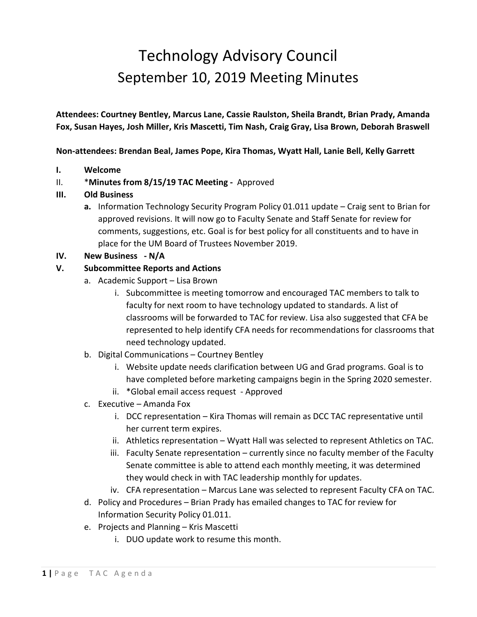# Technology Advisory Council September 10, 2019 Meeting Minutes

**Attendees: Courtney Bentley, Marcus Lane, Cassie Raulston, Sheila Brandt, Brian Prady, Amanda Fox, Susan Hayes, Josh Miller, Kris Mascetti, Tim Nash, Craig Gray, Lisa Brown, Deborah Braswell** 

**Non-attendees: Brendan Beal, James Pope, Kira Thomas, Wyatt Hall, Lanie Bell, Kelly Garrett**

**I. Welcome**

# II. \***Minutes from 8/15/19 TAC Meeting -** Approved

### **III. Old Business**

**a.** Information Technology Security Program Policy 01.011 update – Craig sent to Brian for approved revisions. It will now go to Faculty Senate and Staff Senate for review for comments, suggestions, etc. Goal is for best policy for all constituents and to have in place for the UM Board of Trustees November 2019.

# **IV. New Business - N/A**

### **V. Subcommittee Reports and Actions**

- a. Academic Support Lisa Brown
	- i. Subcommittee is meeting tomorrow and encouraged TAC members to talk to faculty for next room to have technology updated to standards. A list of classrooms will be forwarded to TAC for review. Lisa also suggested that CFA be represented to help identify CFA needs for recommendations for classrooms that need technology updated.
- b. Digital Communications Courtney Bentley
	- i. Website update needs clarification between UG and Grad programs. Goal is to have completed before marketing campaigns begin in the Spring 2020 semester.
	- ii. \*Global email access request Approved
- c. Executive Amanda Fox
	- i. DCC representation Kira Thomas will remain as DCC TAC representative until her current term expires.
	- ii. Athletics representation Wyatt Hall was selected to represent Athletics on TAC.
	- iii. Faculty Senate representation currently since no faculty member of the Faculty Senate committee is able to attend each monthly meeting, it was determined they would check in with TAC leadership monthly for updates.
	- iv. CFA representation Marcus Lane was selected to represent Faculty CFA on TAC.
- d. Policy and Procedures Brian Prady has emailed changes to TAC for review for Information Security Policy 01.011.
- e. Projects and Planning Kris Mascetti
	- i. DUO update work to resume this month.